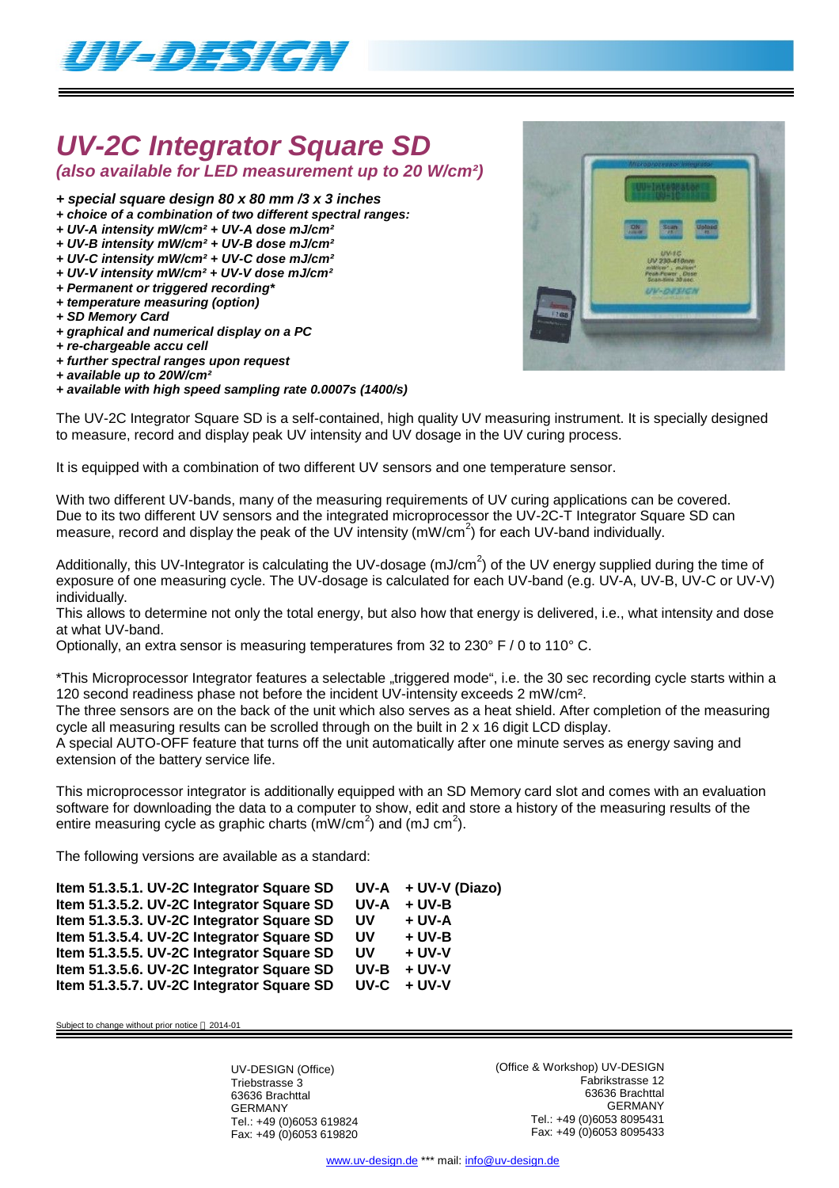

# *UV-2C Integrator Square SD*

*(also available for LED measurement up to 20 W/cm²)*

- *+ special square design 80 x 80 mm /3 x 3 inches*
- *+ choice of a combination of two different spectral ranges:*
- *+ UV-A intensity mW/cm² + UV-A dose mJ/cm²*
- *+ UV-B intensity mW/cm² + UV-B dose mJ/cm²*
- *+ UV-C intensity mW/cm² + UV-C dose mJ/cm² + UV-V intensity mW/cm² + UV-V dose mJ/cm²*
- *+ Permanent or triggered recording\**
- *+ temperature measuring (option)*
- *+ SD Memory Card*
- *+ graphical and numerical display on a PC*
- *+ re-chargeable accu cell*
- *+ further spectral ranges upon request*
- *+ available up to 20W/cm²*
- *+ available with high speed sampling rate 0.0007s (1400/s)*



The UV-2C Integrator Square SD is a self-contained, high quality UV measuring instrument. It is specially designed to measure, record and display peak UV intensity and UV dosage in the UV curing process.

It is equipped with a combination of two different UV sensors and one temperature sensor.

With two different UV-bands, many of the measuring requirements of UV curing applications can be covered. Due to its two different UV sensors and the integrated microprocessor the UV-2C-T Integrator Square SD can measure, record and display the peak of the UV intensity ( $mW/cm<sup>2</sup>$ ) for each UV-band individually.

Additionally, this UV-Integrator is calculating the UV-dosage (mJ/cm<sup>2</sup>) of the UV energy supplied during the time of exposure of one measuring cycle. The UV-dosage is calculated for each UV-band (e.g. UV-A, UV-B, UV-C or UV-V) individually.

This allows to determine not only the total energy, but also how that energy is delivered, i.e., what intensity and dose at what UV-band.

Optionally, an extra sensor is measuring temperatures from 32 to 230 $\degree$  F / 0 to 110 $\degree$  C.

\*This Microprocessor Integrator features a selectable "triggered mode", i.e. the 30 sec recording cycle starts within a 120 second readiness phase not before the incident UV-intensity exceeds 2 mW/cm².

The three sensors are on the back of the unit which also serves as a heat shield. After completion of the measuring cycle all measuring results can be scrolled through on the built in 2 x 16 digit LCD display.

A special AUTO-OFF feature that turns off the unit automatically after one minute serves as energy saving and extension of the battery service life.

This microprocessor integrator is additionally equipped with an SD Memory card slot and comes with an evaluation software for downloading the data to a computer to show, edit and store a history of the measuring results of the entire measuring cycle as graphic charts (mW/cm<sup>2</sup>) and (mJ cm<sup>2</sup>).

The following versions are available as a standard:

| Item 51.3.5.1. UV-2C Integrator Square SD |           | $UV-A + UV-V (Diazo)$ |
|-------------------------------------------|-----------|-----------------------|
| Item 51.3.5.2. UV-2C Integrator Square SD | UV-A      | $+$ UV-B              |
| Item 51.3.5.3. UV-2C Integrator Square SD | <b>UV</b> | + UV-A                |
| Item 51.3.5.4. UV-2C Integrator Square SD | <b>UV</b> | + UV-B                |
| Item 51.3.5.5. UV-2C Integrator Square SD | UV        | $+$ UV-V              |
| Item 51.3.5.6. UV-2C Integrator Square SD | UV-B      | $+ UV-V$              |
| Item 51.3.5.7. UV-2C Integrator Square SD | UV-C      | $+ UV-V$              |

Subject to change without prior notice  $@$  2014-01

UV-DESIGN (Office) Triebstrasse 3 63636 Brachttal GERMANY Tel.: +49 (0)6053 619824 Fax: +49 (0)6053 619820 (Office & Workshop) UV-DESIGN Fabrikstrasse 12 63636 Brachttal GERMANY Tel.: +49 (0)6053 8095431 Fax: +49 (0)6053 8095433

www.uv-design.de \*\*\* mail: info@uv-design.de